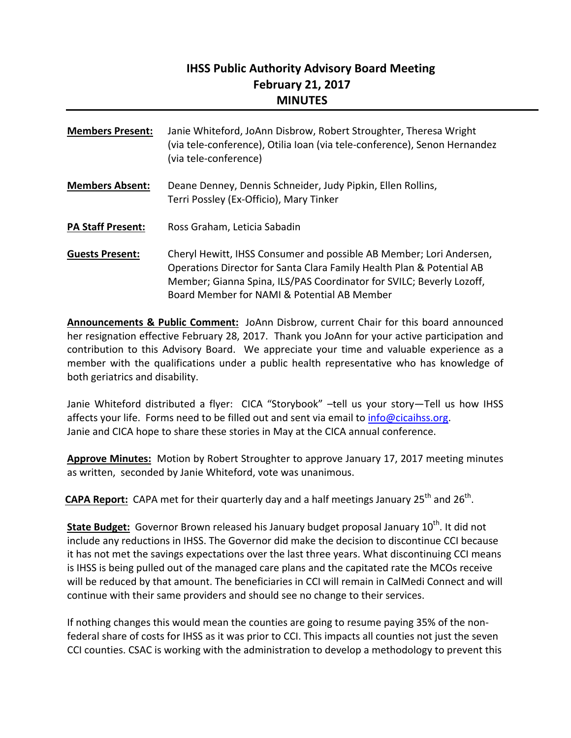# **IHSS Public Authority Advisory Board Meeting February 21, 2017 MINUTES**

| <b>Members Present:</b>  | Janie Whiteford, JoAnn Disbrow, Robert Stroughter, Theresa Wright<br>(via tele-conference), Otilia Ioan (via tele-conference), Senon Hernandez<br>(via tele-conference)                                                                                             |
|--------------------------|---------------------------------------------------------------------------------------------------------------------------------------------------------------------------------------------------------------------------------------------------------------------|
| <b>Members Absent:</b>   | Deane Denney, Dennis Schneider, Judy Pipkin, Ellen Rollins,<br>Terri Possley (Ex-Officio), Mary Tinker                                                                                                                                                              |
| <b>PA Staff Present:</b> | Ross Graham, Leticia Sabadin                                                                                                                                                                                                                                        |
| <b>Guests Present:</b>   | Cheryl Hewitt, IHSS Consumer and possible AB Member; Lori Andersen,<br>Operations Director for Santa Clara Family Health Plan & Potential AB<br>Member; Gianna Spina, ILS/PAS Coordinator for SVILC; Beverly Lozoff,<br>Board Member for NAMI & Potential AB Member |

**Announcements & Public Comment:** JoAnn Disbrow, current Chair for this board announced her resignation effective February 28, 2017. Thank you JoAnn for your active participation and contribution to this Advisory Board. We appreciate your time and valuable experience as a member with the qualifications under a public health representative who has knowledge of both geriatrics and disability.

Janie Whiteford distributed a flyer: CICA "Storybook" –tell us your story—Tell us how IHSS affects your life. Forms need to be filled out and sent via email to info@cicaihss.org. Janie and CICA hope to share these stories in May at the CICA annual conference.

**Approve Minutes:** Motion by Robert Stroughter to approve January 17, 2017 meeting minutes as written, seconded by Janie Whiteford, vote was unanimous.

**CAPA Report:** CAPA met for their quarterly day and a half meetings January 25<sup>th</sup> and 26<sup>th</sup>.

**State Budget:** Governor Brown released his January budget proposal January 10<sup>th</sup>. It did not include any reductions in IHSS. The Governor did make the decision to discontinue CCI because it has not met the savings expectations over the last three years. What discontinuing CCI means is IHSS is being pulled out of the managed care plans and the capitated rate the MCOs receive will be reduced by that amount. The beneficiaries in CCI will remain in CalMedi Connect and will continue with their same providers and should see no change to their services.

If nothing changes this would mean the counties are going to resume paying 35% of the non‐ federal share of costs for IHSS as it was prior to CCI. This impacts all counties not just the seven CCI counties. CSAC is working with the administration to develop a methodology to prevent this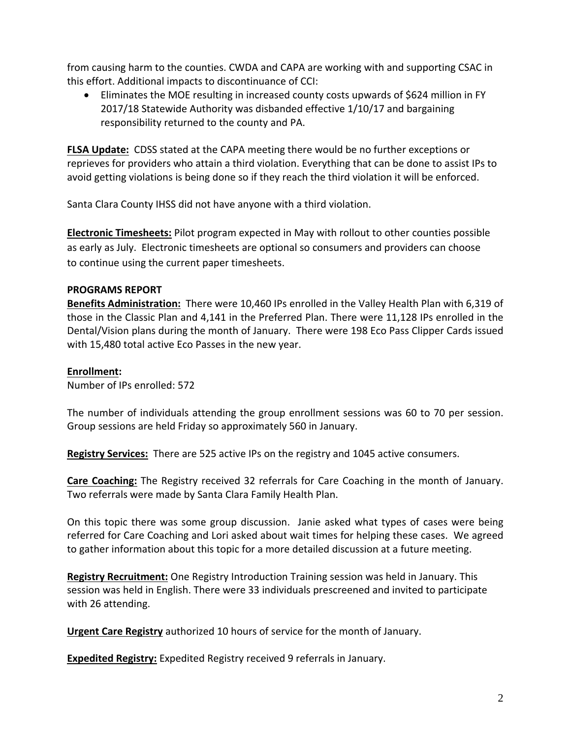from causing harm to the counties. CWDA and CAPA are working with and supporting CSAC in this effort. Additional impacts to discontinuance of CCI:

 Eliminates the MOE resulting in increased county costs upwards of \$624 million in FY 2017/18 Statewide Authority was disbanded effective 1/10/17 and bargaining responsibility returned to the county and PA.

**FLSA Update:** CDSS stated at the CAPA meeting there would be no further exceptions or reprieves for providers who attain a third violation. Everything that can be done to assist IPs to avoid getting violations is being done so if they reach the third violation it will be enforced.

Santa Clara County IHSS did not have anyone with a third violation.

**Electronic Timesheets:** Pilot program expected in May with rollout to other counties possible as early as July. Electronic timesheets are optional so consumers and providers can choose to continue using the current paper timesheets.

# **PROGRAMS REPORT**

**Benefits Administration:** There were 10,460 IPs enrolled in the Valley Health Plan with 6,319 of those in the Classic Plan and 4,141 in the Preferred Plan. There were 11,128 IPs enrolled in the Dental/Vision plans during the month of January. There were 198 Eco Pass Clipper Cards issued with 15,480 total active Eco Passes in the new year.

## **Enrollment:**

Number of IPs enrolled: 572

The number of individuals attending the group enrollment sessions was 60 to 70 per session. Group sessions are held Friday so approximately 560 in January.

**Registry Services:** There are 525 active IPs on the registry and 1045 active consumers.

**Care Coaching:** The Registry received 32 referrals for Care Coaching in the month of January. Two referrals were made by Santa Clara Family Health Plan.

On this topic there was some group discussion. Janie asked what types of cases were being referred for Care Coaching and Lori asked about wait times for helping these cases. We agreed to gather information about this topic for a more detailed discussion at a future meeting.

**Registry Recruitment:** One Registry Introduction Training session was held in January. This session was held in English. There were 33 individuals prescreened and invited to participate with 26 attending.

**Urgent Care Registry** authorized 10 hours of service for the month of January.

**Expedited Registry:** Expedited Registry received 9 referrals in January.